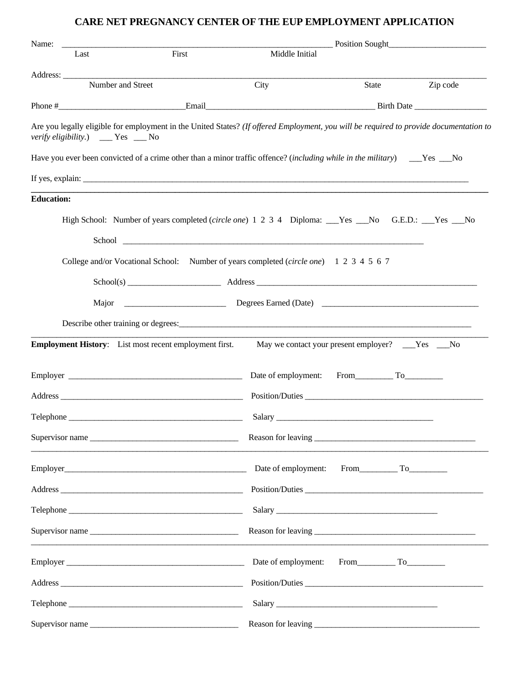## **CARE NET PREGNANCY CENTER OF THE EUP EMPLOYMENT APPLICATION**

| Name:<br>the contract of the contract of the contract of the contract of the contract of |                 |                                                                                                                                                                                                                                | Position Sought |          |
|------------------------------------------------------------------------------------------|-----------------|--------------------------------------------------------------------------------------------------------------------------------------------------------------------------------------------------------------------------------|-----------------|----------|
| Last                                                                                     | First           | Middle Initial                                                                                                                                                                                                                 |                 |          |
|                                                                                          |                 |                                                                                                                                                                                                                                |                 |          |
| Number and Street                                                                        |                 | City                                                                                                                                                                                                                           | State           | Zip code |
|                                                                                          |                 |                                                                                                                                                                                                                                |                 |          |
| verify eligibility.) ___ Yes __ No                                                       |                 | Are you legally eligible for employment in the United States? (If offered Employment, you will be required to provide documentation to                                                                                         |                 |          |
|                                                                                          |                 | Have you ever been convicted of a crime other than a minor traffic offence? (including while in the military) ____Yes ___No                                                                                                    |                 |          |
|                                                                                          |                 | If yes, explain: The same state of the same state of the same state of the same state of the same state of the same state of the same state of the same state of the same state of the same state of the same state of the sam |                 |          |
| <b>Education:</b>                                                                        |                 |                                                                                                                                                                                                                                |                 |          |
|                                                                                          |                 | High School: Number of years completed (circle one) 1 2 3 4 Diploma: Nes No G.E.D.: No G.E.D.: No                                                                                                                              |                 |          |
|                                                                                          |                 |                                                                                                                                                                                                                                |                 |          |
|                                                                                          |                 |                                                                                                                                                                                                                                |                 |          |
|                                                                                          |                 | College and/or Vocational School: Number of years completed (circle one) 1 2 3 4 5 6 7                                                                                                                                         |                 |          |
|                                                                                          |                 |                                                                                                                                                                                                                                |                 |          |
|                                                                                          |                 |                                                                                                                                                                                                                                |                 |          |
|                                                                                          |                 |                                                                                                                                                                                                                                |                 |          |
|                                                                                          |                 | <b>Employment History:</b> List most recent employment first. May we contact your present employer? ___Yes ___No                                                                                                               |                 |          |
|                                                                                          |                 |                                                                                                                                                                                                                                |                 |          |
|                                                                                          |                 |                                                                                                                                                                                                                                |                 |          |
|                                                                                          |                 |                                                                                                                                                                                                                                |                 |          |
|                                                                                          |                 |                                                                                                                                                                                                                                |                 |          |
|                                                                                          | Supervisor name |                                                                                                                                                                                                                                |                 |          |
|                                                                                          |                 | Date of employment: From To                                                                                                                                                                                                    |                 |          |
|                                                                                          |                 | Position/Duties                                                                                                                                                                                                                |                 |          |
|                                                                                          |                 |                                                                                                                                                                                                                                |                 |          |
|                                                                                          | Supervisor name |                                                                                                                                                                                                                                |                 |          |
|                                                                                          |                 | Date of employment: From To                                                                                                                                                                                                    |                 |          |
|                                                                                          |                 |                                                                                                                                                                                                                                |                 |          |
|                                                                                          |                 |                                                                                                                                                                                                                                |                 |          |
|                                                                                          | Supervisor name |                                                                                                                                                                                                                                |                 |          |